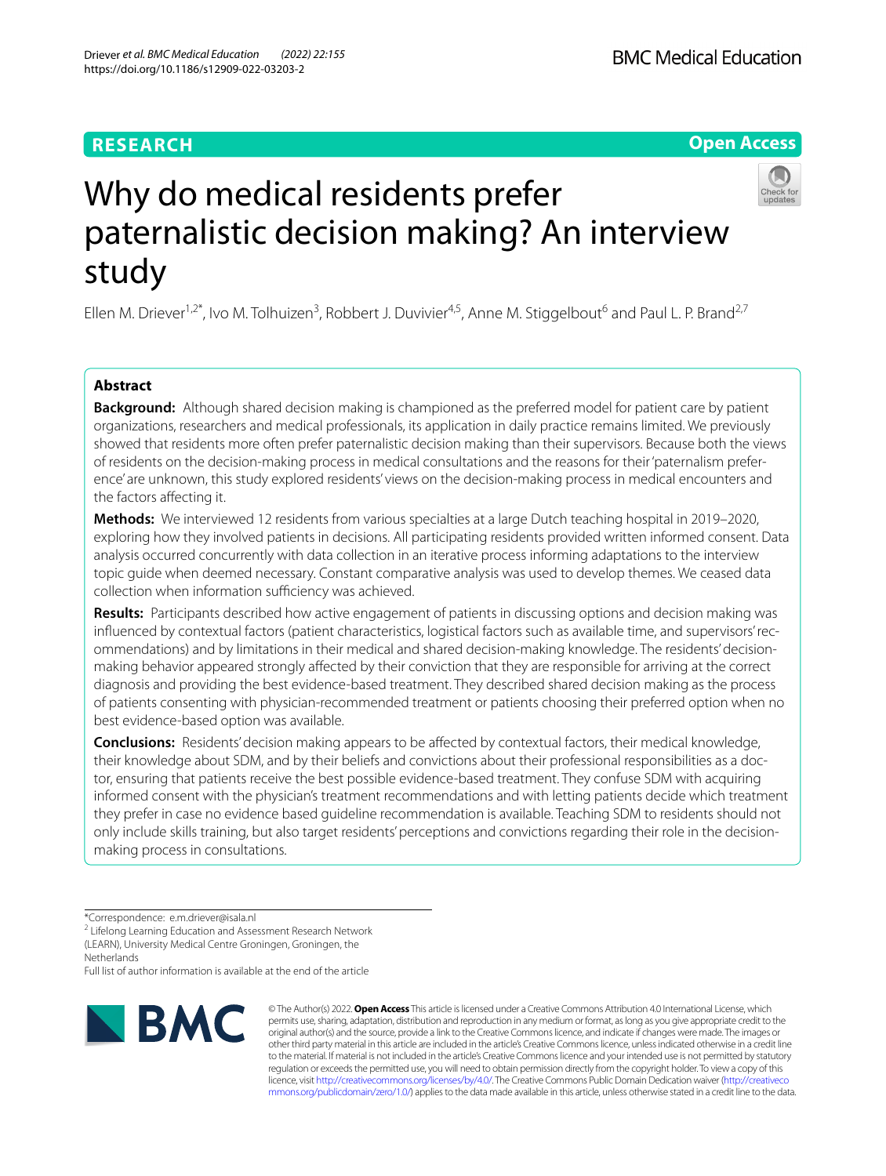# **RESEARCH**

**Open Access**

# Why do medical residents prefer paternalistic decision making? An interview study

Ellen M. Driever<sup>1,2\*</sup>, Ivo M. Tolhuizen<sup>3</sup>, Robbert J. Duvivier<sup>4,5</sup>, Anne M. Stiggelbout<sup>6</sup> and Paul L. P. Brand<sup>2,7</sup>

## **Abstract**

**Background:** Although shared decision making is championed as the preferred model for patient care by patient organizations, researchers and medical professionals, its application in daily practice remains limited. We previously showed that residents more often prefer paternalistic decision making than their supervisors. Because both the views of residents on the decision-making process in medical consultations and the reasons for their 'paternalism preference' are unknown, this study explored residents' views on the decision-making process in medical encounters and the factors afecting it.

**Methods:** We interviewed 12 residents from various specialties at a large Dutch teaching hospital in 2019–2020, exploring how they involved patients in decisions. All participating residents provided written informed consent. Data analysis occurred concurrently with data collection in an iterative process informing adaptations to the interview topic guide when deemed necessary. Constant comparative analysis was used to develop themes. We ceased data collection when information sufficiency was achieved.

**Results:** Participants described how active engagement of patients in discussing options and decision making was infuenced by contextual factors (patient characteristics, logistical factors such as available time, and supervisors' recommendations) and by limitations in their medical and shared decision-making knowledge. The residents' decisionmaking behavior appeared strongly afected by their conviction that they are responsible for arriving at the correct diagnosis and providing the best evidence-based treatment. They described shared decision making as the process of patients consenting with physician-recommended treatment or patients choosing their preferred option when no best evidence-based option was available.

**Conclusions:** Residents' decision making appears to be afected by contextual factors, their medical knowledge, their knowledge about SDM, and by their beliefs and convictions about their professional responsibilities as a doctor, ensuring that patients receive the best possible evidence-based treatment. They confuse SDM with acquiring informed consent with the physician's treatment recommendations and with letting patients decide which treatment they prefer in case no evidence based guideline recommendation is available. Teaching SDM to residents should not only include skills training, but also target residents' perceptions and convictions regarding their role in the decisionmaking process in consultations.

Netherlands

Full list of author information is available at the end of the article



© The Author(s) 2022. **Open Access** This article is licensed under a Creative Commons Attribution 4.0 International License, which permits use, sharing, adaptation, distribution and reproduction in any medium or format, as long as you give appropriate credit to the original author(s) and the source, provide a link to the Creative Commons licence, and indicate if changes were made. The images or other third party material in this article are included in the article's Creative Commons licence, unless indicated otherwise in a credit line to the material. If material is not included in the article's Creative Commons licence and your intended use is not permitted by statutory regulation or exceeds the permitted use, you will need to obtain permission directly from the copyright holder. To view a copy of this licence, visit [http://creativecommons.org/licenses/by/4.0/.](http://creativecommons.org/licenses/by/4.0/) The Creative Commons Public Domain Dedication waiver ([http://creativeco](http://creativecommons.org/publicdomain/zero/1.0/) [mmons.org/publicdomain/zero/1.0/](http://creativecommons.org/publicdomain/zero/1.0/)) applies to the data made available in this article, unless otherwise stated in a credit line to the data.

<sup>\*</sup>Correspondence: e.m.driever@isala.nl

<sup>&</sup>lt;sup>2</sup> Lifelong Learning Education and Assessment Research Network (LEARN), University Medical Centre Groningen, Groningen, the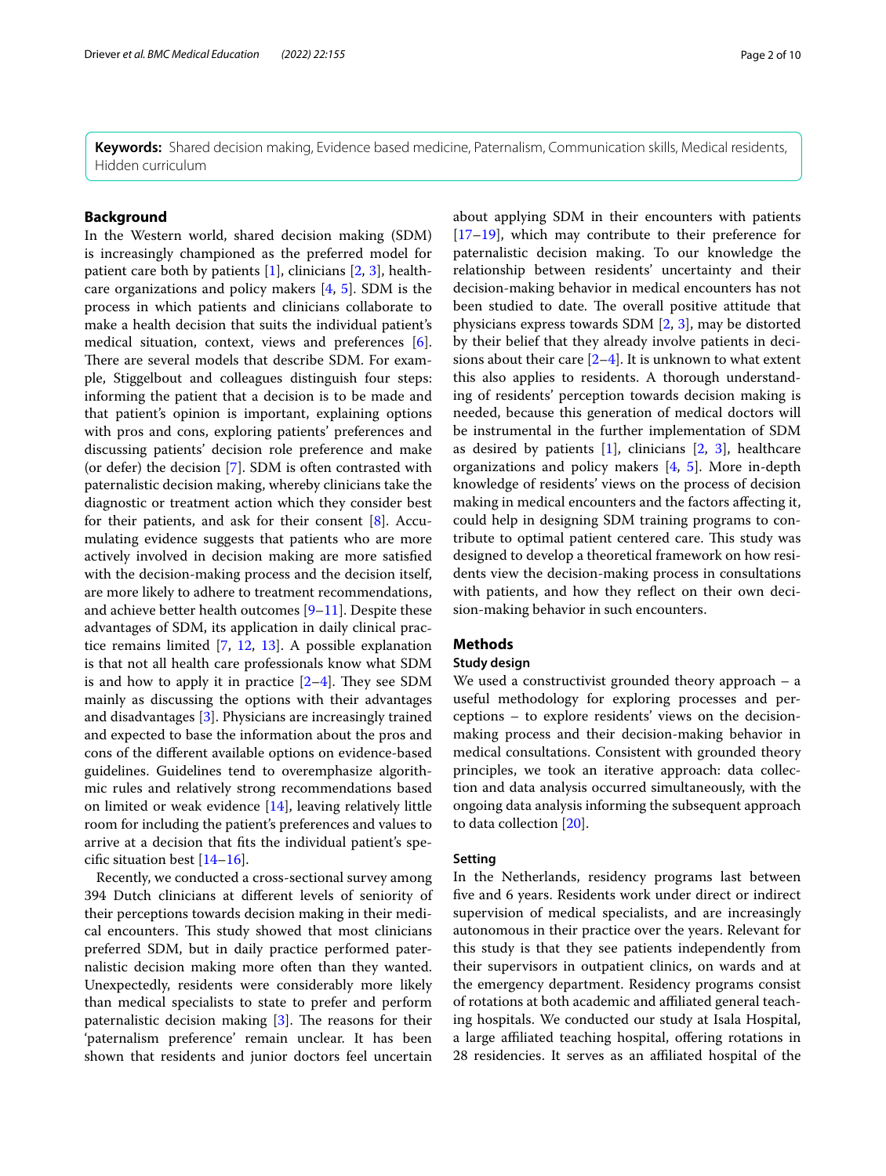**Keywords:** Shared decision making, Evidence based medicine, Paternalism, Communication skills, Medical residents, Hidden curriculum

## **Background**

In the Western world, shared decision making (SDM) is increasingly championed as the preferred model for patient care both by patients  $[1]$  $[1]$ , clinicians  $[2, 3]$  $[2, 3]$  $[2, 3]$  $[2, 3]$ , healthcare organizations and policy makers [[4,](#page-8-0) [5](#page-8-1)]. SDM is the process in which patients and clinicians collaborate to make a health decision that suits the individual patient's medical situation, context, views and preferences [\[6](#page-8-2)]. There are several models that describe SDM. For example, Stiggelbout and colleagues distinguish four steps: informing the patient that a decision is to be made and that patient's opinion is important, explaining options with pros and cons, exploring patients' preferences and discussing patients' decision role preference and make (or defer) the decision [[7\]](#page-8-3). SDM is often contrasted with paternalistic decision making, whereby clinicians take the diagnostic or treatment action which they consider best for their patients, and ask for their consent [\[8](#page-8-4)]. Accumulating evidence suggests that patients who are more actively involved in decision making are more satisfed with the decision-making process and the decision itself, are more likely to adhere to treatment recommendations, and achieve better health outcomes  $[9-11]$  $[9-11]$  $[9-11]$ . Despite these advantages of SDM, its application in daily clinical practice remains limited [\[7](#page-8-3), [12](#page-8-7), [13](#page-8-8)]. A possible explanation is that not all health care professionals know what SDM is and how to apply it in practice  $[2-4]$  $[2-4]$ . They see SDM mainly as discussing the options with their advantages and disadvantages [[3\]](#page-7-2). Physicians are increasingly trained and expected to base the information about the pros and cons of the diferent available options on evidence-based guidelines. Guidelines tend to overemphasize algorithmic rules and relatively strong recommendations based on limited or weak evidence [\[14](#page-8-9)], leaving relatively little room for including the patient's preferences and values to arrive at a decision that fts the individual patient's specifc situation best [\[14](#page-8-9)[–16](#page-8-10)].

Recently, we conducted a cross-sectional survey among 394 Dutch clinicians at diferent levels of seniority of their perceptions towards decision making in their medical encounters. This study showed that most clinicians preferred SDM, but in daily practice performed paternalistic decision making more often than they wanted. Unexpectedly, residents were considerably more likely than medical specialists to state to prefer and perform paternalistic decision making  $[3]$  $[3]$ . The reasons for their 'paternalism preference' remain unclear. It has been shown that residents and junior doctors feel uncertain

about applying SDM in their encounters with patients [[17–](#page-8-11)[19\]](#page-8-12), which may contribute to their preference for paternalistic decision making. To our knowledge the relationship between residents' uncertainty and their decision-making behavior in medical encounters has not been studied to date. The overall positive attitude that physicians express towards SDM [[2,](#page-7-1) [3\]](#page-7-2), may be distorted by their belief that they already involve patients in decisions about their care  $[2-4]$  $[2-4]$ . It is unknown to what extent this also applies to residents. A thorough understanding of residents' perception towards decision making is needed, because this generation of medical doctors will be instrumental in the further implementation of SDM as desired by patients  $[1]$  $[1]$ , clinicians  $[2, 3]$  $[2, 3]$  $[2, 3]$  $[2, 3]$ , healthcare organizations and policy makers [\[4](#page-8-0), [5\]](#page-8-1). More in-depth knowledge of residents' views on the process of decision making in medical encounters and the factors afecting it, could help in designing SDM training programs to contribute to optimal patient centered care. This study was designed to develop a theoretical framework on how residents view the decision-making process in consultations with patients, and how they refect on their own decision-making behavior in such encounters.

## **Methods**

## **Study design**

We used a constructivist grounded theory approach – a useful methodology for exploring processes and perceptions – to explore residents' views on the decisionmaking process and their decision-making behavior in medical consultations. Consistent with grounded theory principles, we took an iterative approach: data collection and data analysis occurred simultaneously, with the ongoing data analysis informing the subsequent approach to data collection [[20\]](#page-8-13).

## **Setting**

In the Netherlands, residency programs last between fve and 6 years. Residents work under direct or indirect supervision of medical specialists, and are increasingly autonomous in their practice over the years. Relevant for this study is that they see patients independently from their supervisors in outpatient clinics, on wards and at the emergency department. Residency programs consist of rotations at both academic and afliated general teaching hospitals. We conducted our study at Isala Hospital, a large affiliated teaching hospital, offering rotations in 28 residencies. It serves as an afliated hospital of the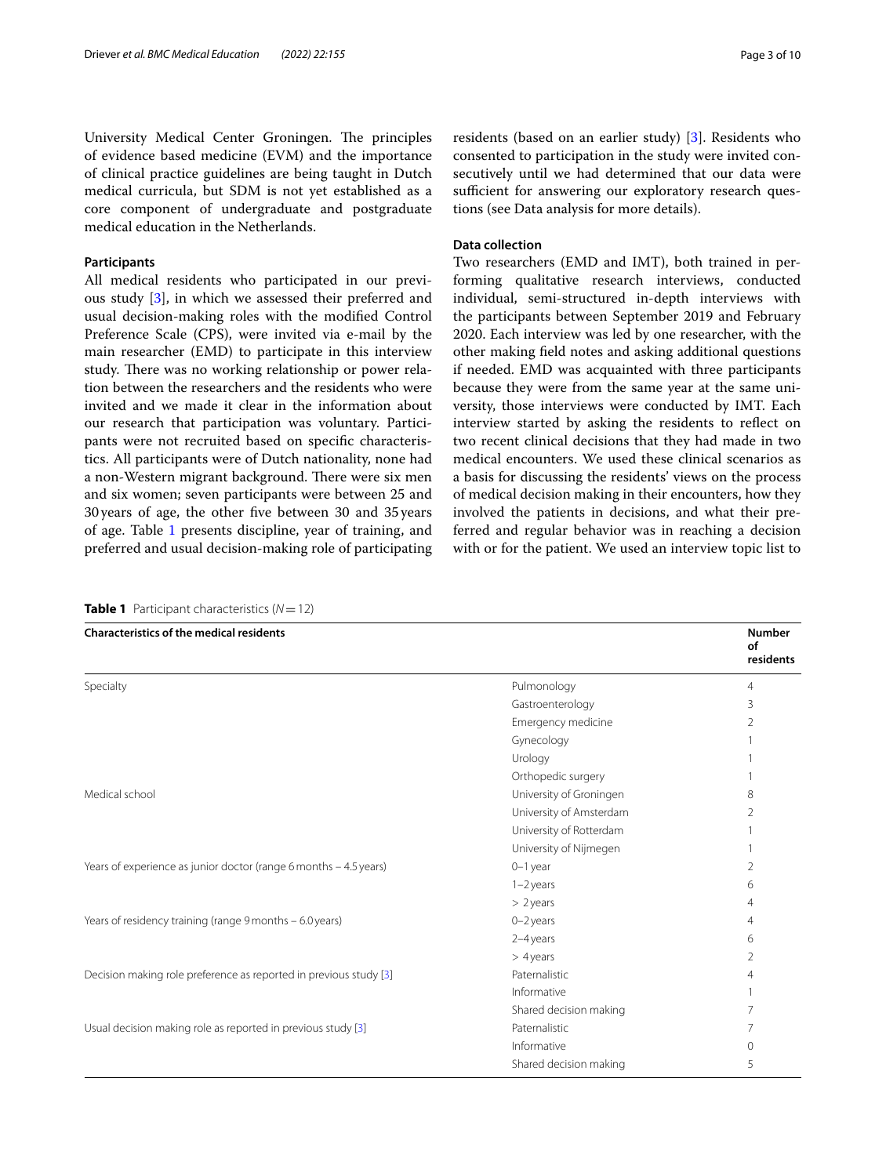University Medical Center Groningen. The principles of evidence based medicine (EVM) and the importance of clinical practice guidelines are being taught in Dutch medical curricula, but SDM is not yet established as a core component of undergraduate and postgraduate medical education in the Netherlands.

## **Participants**

All medical residents who participated in our previous study [[3](#page-7-2)], in which we assessed their preferred and usual decision-making roles with the modifed Control Preference Scale (CPS), were invited via e-mail by the main researcher (EMD) to participate in this interview study. There was no working relationship or power relation between the researchers and the residents who were invited and we made it clear in the information about our research that participation was voluntary. Participants were not recruited based on specifc characteristics. All participants were of Dutch nationality, none had a non-Western migrant background. There were six men and six women; seven participants were between 25 and 30years of age, the other fve between 30 and 35 years of age. Table [1](#page-2-0) presents discipline, year of training, and preferred and usual decision-making role of participating

<span id="page-2-0"></span>**Table 1** Participant characteristics (*N*=12)

residents (based on an earlier study) [\[3](#page-7-2)]. Residents who consented to participation in the study were invited consecutively until we had determined that our data were sufficient for answering our exploratory research questions (see Data analysis for more details).

## **Data collection**

Two researchers (EMD and IMT), both trained in performing qualitative research interviews, conducted individual, semi-structured in-depth interviews with the participants between September 2019 and February 2020. Each interview was led by one researcher, with the other making feld notes and asking additional questions if needed. EMD was acquainted with three participants because they were from the same year at the same university, those interviews were conducted by IMT. Each interview started by asking the residents to refect on two recent clinical decisions that they had made in two medical encounters. We used these clinical scenarios as a basis for discussing the residents' views on the process of medical decision making in their encounters, how they involved the patients in decisions, and what their preferred and regular behavior was in reaching a decision with or for the patient. We used an interview topic list to

| <b>Characteristics of the medical residents</b>                   |                         | <b>Number</b><br>of<br>residents |
|-------------------------------------------------------------------|-------------------------|----------------------------------|
| Specialty                                                         | Pulmonology             | 4                                |
|                                                                   | Gastroenterology        | 3                                |
|                                                                   | Emergency medicine      | 2                                |
|                                                                   | Gynecology              |                                  |
|                                                                   | Urology                 |                                  |
|                                                                   | Orthopedic surgery      |                                  |
| Medical school                                                    | University of Groningen | 8                                |
|                                                                   | University of Amsterdam | 2                                |
|                                                                   | University of Rotterdam |                                  |
|                                                                   | University of Nijmegen  |                                  |
| Years of experience as junior doctor (range 6 months - 4.5 years) | $0-1$ year              | 2                                |
|                                                                   | $1 - 2$ years           | 6                                |
|                                                                   | $> 2$ years             | 4                                |
| Years of residency training (range 9 months - 6.0 years)          | $0 - 2$ years           | 4                                |
|                                                                   | 2-4 years               | 6                                |
|                                                                   | $>4$ years              | 2                                |
| Decision making role preference as reported in previous study [3] | Paternalistic           | 4                                |
|                                                                   | Informative             |                                  |
|                                                                   | Shared decision making  | 7                                |
| Usual decision making role as reported in previous study [3]      | Paternalistic           | 7                                |
|                                                                   | Informative             | $\Omega$                         |
|                                                                   | Shared decision making  | 5                                |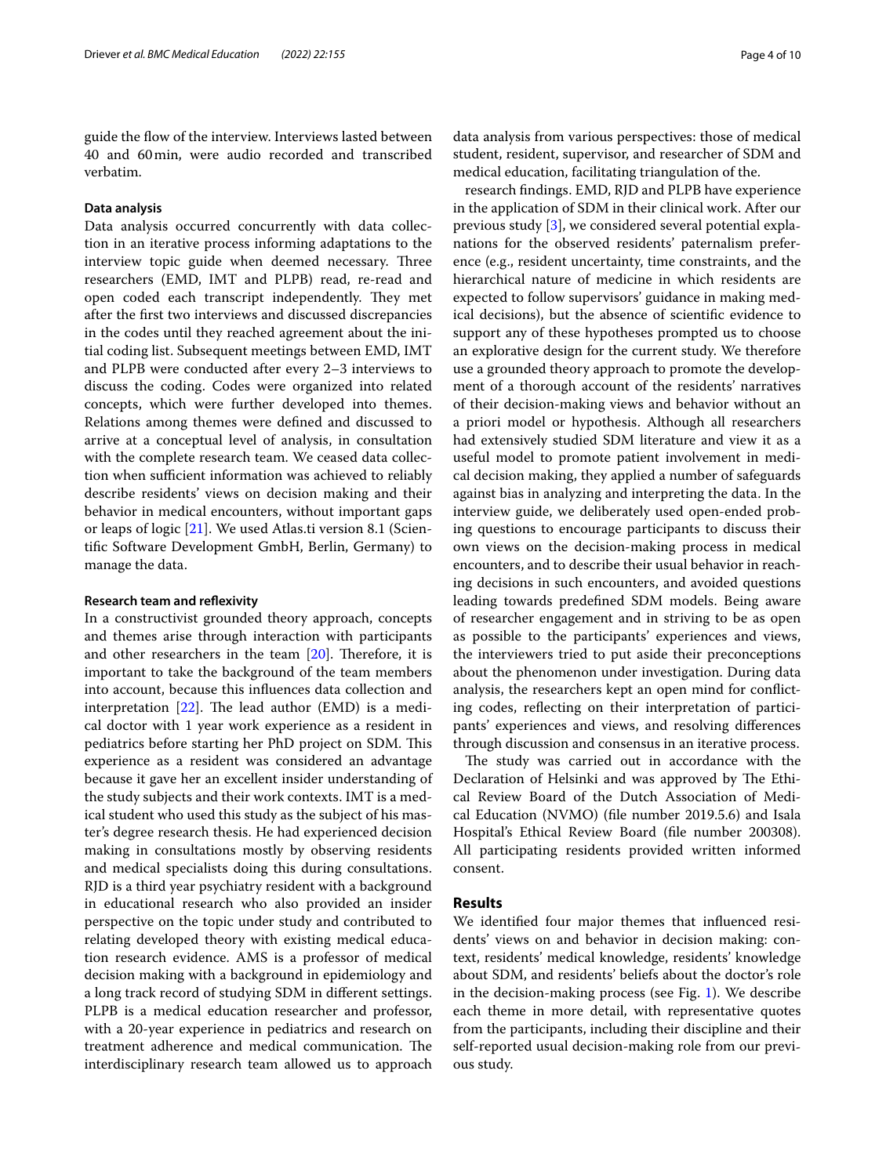guide the fow of the interview. Interviews lasted between 40 and 60min, were audio recorded and transcribed verbatim.

## **Data analysis**

Data analysis occurred concurrently with data collection in an iterative process informing adaptations to the interview topic guide when deemed necessary. Three researchers (EMD, IMT and PLPB) read, re-read and open coded each transcript independently. They met after the frst two interviews and discussed discrepancies in the codes until they reached agreement about the initial coding list. Subsequent meetings between EMD, IMT and PLPB were conducted after every 2–3 interviews to discuss the coding. Codes were organized into related concepts, which were further developed into themes. Relations among themes were defned and discussed to arrive at a conceptual level of analysis, in consultation with the complete research team. We ceased data collection when sufficient information was achieved to reliably describe residents' views on decision making and their behavior in medical encounters, without important gaps or leaps of logic [\[21](#page-8-14)]. We used Atlas.ti version 8.1 (Scientifc Software Development GmbH, Berlin, Germany) to manage the data.

## **Research team and refexivity**

In a constructivist grounded theory approach, concepts and themes arise through interaction with participants and other researchers in the team  $[20]$ . Therefore, it is important to take the background of the team members into account, because this infuences data collection and interpretation  $[22]$  $[22]$ . The lead author (EMD) is a medical doctor with 1 year work experience as a resident in pediatrics before starting her PhD project on SDM. This experience as a resident was considered an advantage because it gave her an excellent insider understanding of the study subjects and their work contexts. IMT is a medical student who used this study as the subject of his master's degree research thesis. He had experienced decision making in consultations mostly by observing residents and medical specialists doing this during consultations. RJD is a third year psychiatry resident with a background in educational research who also provided an insider perspective on the topic under study and contributed to relating developed theory with existing medical education research evidence. AMS is a professor of medical decision making with a background in epidemiology and a long track record of studying SDM in diferent settings. PLPB is a medical education researcher and professor, with a 20-year experience in pediatrics and research on treatment adherence and medical communication. The interdisciplinary research team allowed us to approach data analysis from various perspectives: those of medical student, resident, supervisor, and researcher of SDM and medical education, facilitating triangulation of the.

research fndings. EMD, RJD and PLPB have experience in the application of SDM in their clinical work. After our previous study [\[3](#page-7-2)], we considered several potential explanations for the observed residents' paternalism preference (e.g., resident uncertainty, time constraints, and the hierarchical nature of medicine in which residents are expected to follow supervisors' guidance in making medical decisions), but the absence of scientifc evidence to support any of these hypotheses prompted us to choose an explorative design for the current study. We therefore use a grounded theory approach to promote the development of a thorough account of the residents' narratives of their decision-making views and behavior without an a priori model or hypothesis. Although all researchers had extensively studied SDM literature and view it as a useful model to promote patient involvement in medical decision making, they applied a number of safeguards against bias in analyzing and interpreting the data. In the interview guide, we deliberately used open-ended probing questions to encourage participants to discuss their own views on the decision-making process in medical encounters, and to describe their usual behavior in reaching decisions in such encounters, and avoided questions leading towards predefned SDM models. Being aware of researcher engagement and in striving to be as open as possible to the participants' experiences and views, the interviewers tried to put aside their preconceptions about the phenomenon under investigation. During data analysis, the researchers kept an open mind for conficting codes, refecting on their interpretation of participants' experiences and views, and resolving diferences through discussion and consensus in an iterative process.

The study was carried out in accordance with the Declaration of Helsinki and was approved by The Ethical Review Board of the Dutch Association of Medical Education (NVMO) (fle number 2019.5.6) and Isala Hospital's Ethical Review Board (fle number 200308). All participating residents provided written informed consent.

## **Results**

We identifed four major themes that infuenced residents' views on and behavior in decision making: context, residents' medical knowledge, residents' knowledge about SDM, and residents' beliefs about the doctor's role in the decision-making process (see Fig. [1\)](#page-4-0). We describe each theme in more detail, with representative quotes from the participants, including their discipline and their self-reported usual decision-making role from our previous study.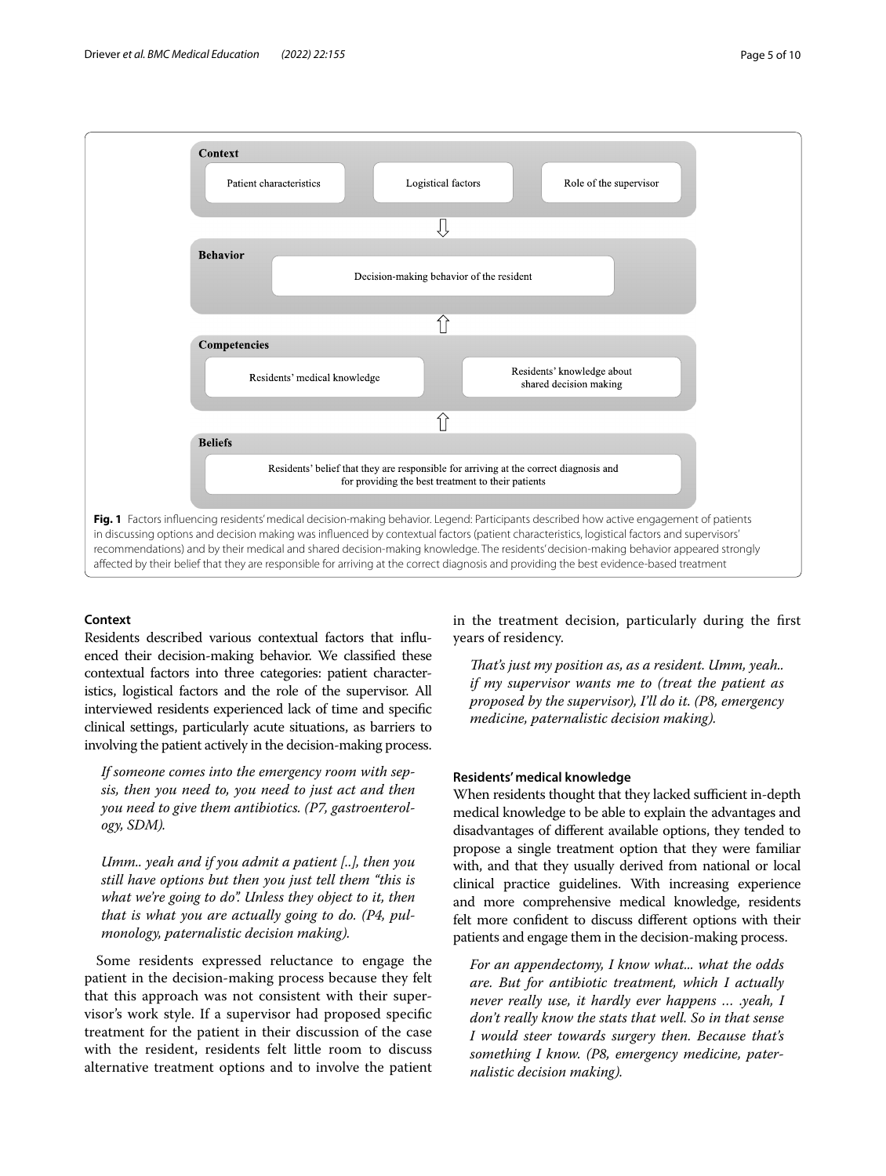

## <span id="page-4-0"></span>**Context**

Residents described various contextual factors that infuenced their decision-making behavior. We classifed these contextual factors into three categories: patient characteristics, logistical factors and the role of the supervisor. All interviewed residents experienced lack of time and specifc clinical settings, particularly acute situations, as barriers to involving the patient actively in the decision-making process.

*If someone comes into the emergency room with sepsis, then you need to, you need to just act and then you need to give them antibiotics. (P7, gastroenterology, SDM).*

*Umm.. yeah and if you admit a patient [..], then you still have options but then you just tell them "this is what we're going to do". Unless they object to it, then that is what you are actually going to do. (P4, pulmonology, paternalistic decision making).*

Some residents expressed reluctance to engage the patient in the decision-making process because they felt that this approach was not consistent with their supervisor's work style. If a supervisor had proposed specifc treatment for the patient in their discussion of the case with the resident, residents felt little room to discuss alternative treatment options and to involve the patient in the treatment decision, particularly during the frst years of residency.

*Tat's just my position as, as a resident. Umm, yeah.. if my supervisor wants me to (treat the patient as proposed by the supervisor), I'll do it. (P8, emergency medicine, paternalistic decision making).*

## **Residents' medical knowledge**

When residents thought that they lacked sufficient in-depth medical knowledge to be able to explain the advantages and disadvantages of diferent available options, they tended to propose a single treatment option that they were familiar with, and that they usually derived from national or local clinical practice guidelines. With increasing experience and more comprehensive medical knowledge, residents felt more confdent to discuss diferent options with their patients and engage them in the decision-making process.

*For an appendectomy, I know what... what the odds are. But for antibiotic treatment, which I actually never really use, it hardly ever happens … .yeah, I don't really know the stats that well. So in that sense I would steer towards surgery then. Because that's something I know. (P8, emergency medicine, paternalistic decision making).*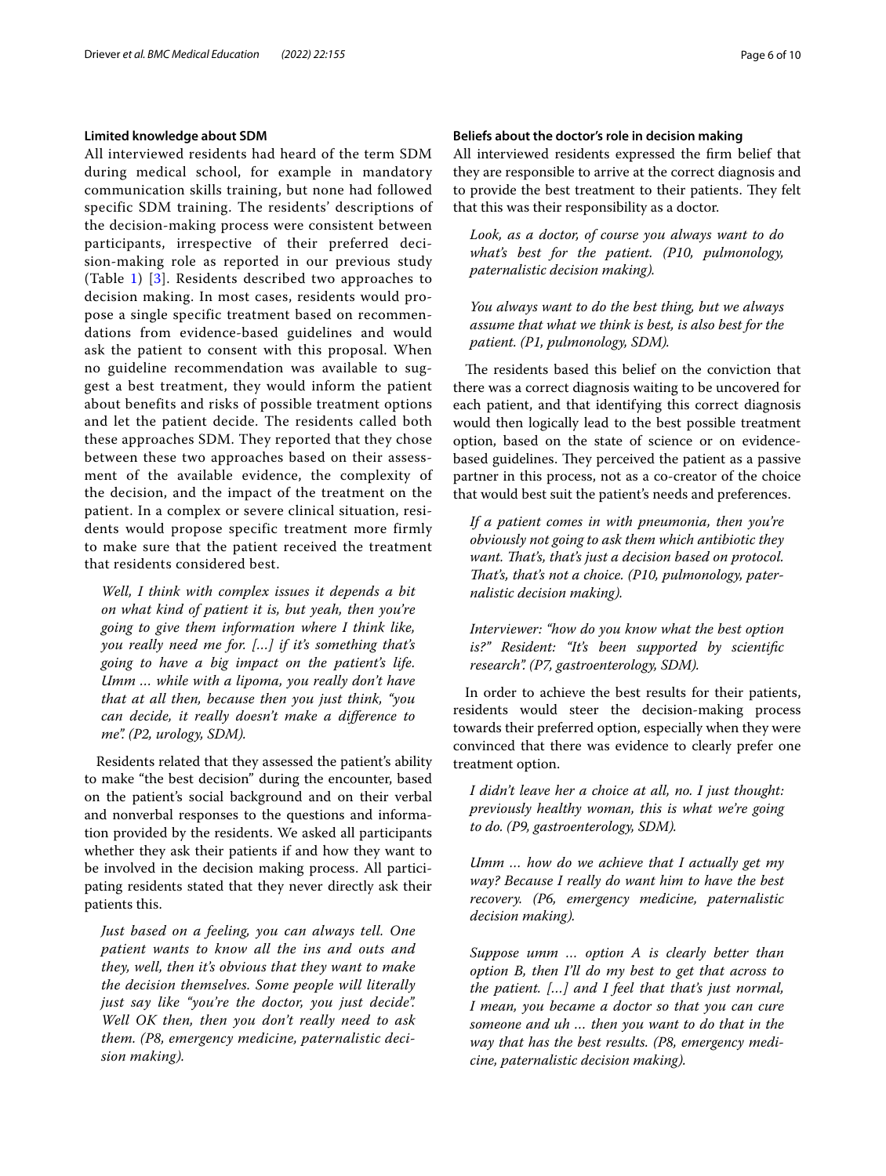## **Limited knowledge about SDM**

All interviewed residents had heard of the term SDM during medical school, for example in mandatory communication skills training, but none had followed specific SDM training. The residents' descriptions of the decision-making process were consistent between participants, irrespective of their preferred decision-making role as reported in our previous study (Table [1\)](#page-2-0) [\[3\]](#page-7-2). Residents described two approaches to decision making. In most cases, residents would propose a single specific treatment based on recommendations from evidence-based guidelines and would ask the patient to consent with this proposal. When no guideline recommendation was available to suggest a best treatment, they would inform the patient about benefits and risks of possible treatment options and let the patient decide. The residents called both these approaches SDM. They reported that they chose between these two approaches based on their assessment of the available evidence, the complexity of the decision, and the impact of the treatment on the patient. In a complex or severe clinical situation, residents would propose specific treatment more firmly to make sure that the patient received the treatment that residents considered best.

*Well, I think with complex issues it depends a bit on what kind of patient it is, but yeah, then you're going to give them information where I think like, you really need me for. […] if it's something that's going to have a big impact on the patient's life. Umm … while with a lipoma, you really don't have that at all then, because then you just think, "you can decide, it really doesn't make a diference to me". (P2, urology, SDM).*

Residents related that they assessed the patient's ability to make "the best decision" during the encounter, based on the patient's social background and on their verbal and nonverbal responses to the questions and information provided by the residents. We asked all participants whether they ask their patients if and how they want to be involved in the decision making process. All participating residents stated that they never directly ask their patients this.

*Just based on a feeling, you can always tell. One patient wants to know all the ins and outs and they, well, then it's obvious that they want to make the decision themselves. Some people will literally just say like "you're the doctor, you just decide". Well OK then, then you don't really need to ask them. (P8, emergency medicine, paternalistic decision making).*

## **Beliefs about the doctor's role in decision making**

All interviewed residents expressed the frm belief that they are responsible to arrive at the correct diagnosis and to provide the best treatment to their patients. They felt that this was their responsibility as a doctor.

*Look, as a doctor, of course you always want to do what's best for the patient. (P10, pulmonology, paternalistic decision making).*

*You always want to do the best thing, but we always assume that what we think is best, is also best for the patient. (P1, pulmonology, SDM).*

The residents based this belief on the conviction that there was a correct diagnosis waiting to be uncovered for each patient, and that identifying this correct diagnosis would then logically lead to the best possible treatment option, based on the state of science or on evidencebased guidelines. They perceived the patient as a passive partner in this process, not as a co-creator of the choice that would best suit the patient's needs and preferences.

*If a patient comes in with pneumonia, then you're obviously not going to ask them which antibiotic they*  want. That's, that's just a decision based on protocol. *Tat's, that's not a choice. (P10, pulmonology, paternalistic decision making).*

*Interviewer: "how do you know what the best option is?" Resident: "It's been supported by scientifc research". (P7, gastroenterology, SDM).*

In order to achieve the best results for their patients, residents would steer the decision-making process towards their preferred option, especially when they were convinced that there was evidence to clearly prefer one treatment option.

*I didn't leave her a choice at all, no. I just thought: previously healthy woman, this is what we're going to do. (P9, gastroenterology, SDM).*

*Umm … how do we achieve that I actually get my way? Because I really do want him to have the best recovery. (P6, emergency medicine, paternalistic decision making).*

*Suppose umm … option A is clearly better than option B, then I'll do my best to get that across to the patient. […] and I feel that that's just normal, I mean, you became a doctor so that you can cure someone and uh … then you want to do that in the way that has the best results. (P8, emergency medicine, paternalistic decision making).*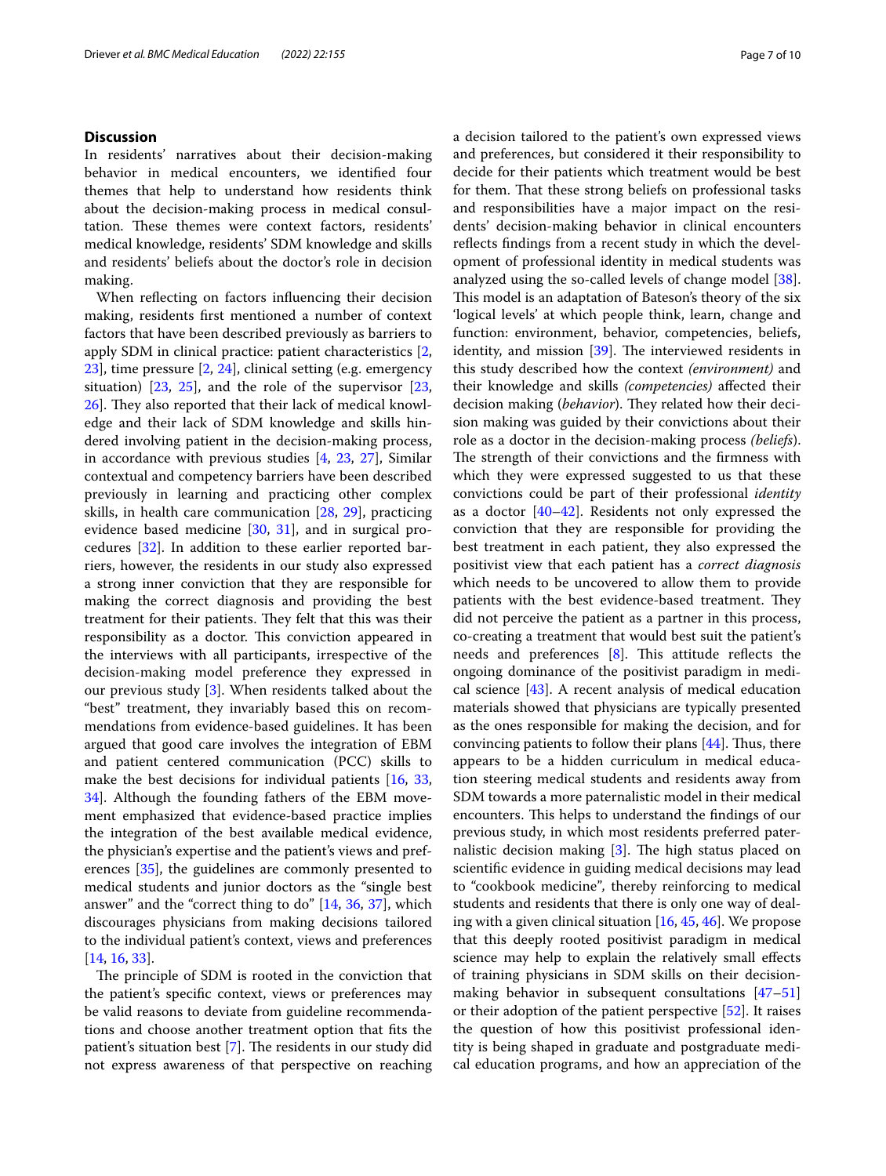## **Discussion**

In residents' narratives about their decision-making behavior in medical encounters, we identifed four themes that help to understand how residents think about the decision-making process in medical consultation. These themes were context factors, residents' medical knowledge, residents' SDM knowledge and skills and residents' beliefs about the doctor's role in decision making.

When refecting on factors infuencing their decision making, residents frst mentioned a number of context factors that have been described previously as barriers to apply SDM in clinical practice: patient characteristics [\[2](#page-7-1), [23\]](#page-8-16), time pressure [\[2](#page-7-1), [24](#page-8-17)], clinical setting (e.g. emergency situation)  $[23, 25]$  $[23, 25]$  $[23, 25]$ , and the role of the supervisor  $[23, 25]$ [26\]](#page-8-19). They also reported that their lack of medical knowledge and their lack of SDM knowledge and skills hindered involving patient in the decision-making process, in accordance with previous studies [\[4](#page-8-0), [23](#page-8-16), [27\]](#page-8-20), Similar contextual and competency barriers have been described previously in learning and practicing other complex skills, in health care communication [\[28](#page-8-21), [29\]](#page-8-22), practicing evidence based medicine [[30](#page-8-23), [31\]](#page-8-24), and in surgical procedures [[32](#page-8-25)]. In addition to these earlier reported barriers, however, the residents in our study also expressed a strong inner conviction that they are responsible for making the correct diagnosis and providing the best treatment for their patients. They felt that this was their responsibility as a doctor. This conviction appeared in the interviews with all participants, irrespective of the decision-making model preference they expressed in our previous study [[3\]](#page-7-2). When residents talked about the "best" treatment, they invariably based this on recommendations from evidence-based guidelines. It has been argued that good care involves the integration of EBM and patient centered communication (PCC) skills to make the best decisions for individual patients [\[16](#page-8-10), [33](#page-8-26), [34\]](#page-8-27). Although the founding fathers of the EBM movement emphasized that evidence-based practice implies the integration of the best available medical evidence, the physician's expertise and the patient's views and preferences [\[35](#page-8-28)], the guidelines are commonly presented to medical students and junior doctors as the "single best answer" and the "correct thing to do" [[14](#page-8-9), [36](#page-8-29), [37](#page-8-30)], which discourages physicians from making decisions tailored to the individual patient's context, views and preferences [[14,](#page-8-9) [16](#page-8-10), [33](#page-8-26)].

The principle of SDM is rooted in the conviction that the patient's specifc context, views or preferences may be valid reasons to deviate from guideline recommendations and choose another treatment option that fts the patient's situation best  $[7]$  $[7]$ . The residents in our study did not express awareness of that perspective on reaching a decision tailored to the patient's own expressed views and preferences, but considered it their responsibility to decide for their patients which treatment would be best for them. That these strong beliefs on professional tasks and responsibilities have a major impact on the residents' decision-making behavior in clinical encounters reflects findings from a recent study in which the development of professional identity in medical students was analyzed using the so-called levels of change model [\[38](#page-8-31)]. This model is an adaptation of Bateson's theory of the six 'logical levels' at which people think, learn, change and function: environment, behavior, competencies, beliefs, identity, and mission  $[39]$  $[39]$ . The interviewed residents in this study described how the context *(environment)* and their knowledge and skills *(competencies)* afected their decision making (*behavior*). They related how their decision making was guided by their convictions about their role as a doctor in the decision-making process *(beliefs*). The strength of their convictions and the firmness with which they were expressed suggested to us that these convictions could be part of their professional *identity* as a doctor  $[40-42]$  $[40-42]$ . Residents not only expressed the conviction that they are responsible for providing the best treatment in each patient, they also expressed the positivist view that each patient has a *correct diagnosis* which needs to be uncovered to allow them to provide patients with the best evidence-based treatment. They did not perceive the patient as a partner in this process, co-creating a treatment that would best suit the patient's needs and preferences  $[8]$  $[8]$ . This attitude reflects the ongoing dominance of the positivist paradigm in medical science [\[43](#page-8-35)]. A recent analysis of medical education materials showed that physicians are typically presented as the ones responsible for making the decision, and for convincing patients to follow their plans  $[44]$  $[44]$ . Thus, there appears to be a hidden curriculum in medical education steering medical students and residents away from SDM towards a more paternalistic model in their medical encounters. This helps to understand the findings of our previous study, in which most residents preferred paternalistic decision making  $[3]$  $[3]$ . The high status placed on scientifc evidence in guiding medical decisions may lead to "cookbook medicine"*,* thereby reinforcing to medical students and residents that there is only one way of dealing with a given clinical situation [[16](#page-8-10), [45,](#page-8-37) [46\]](#page-8-38). We propose that this deeply rooted positivist paradigm in medical science may help to explain the relatively small efects of training physicians in SDM skills on their decisionmaking behavior in subsequent consultations [[47–](#page-8-39)[51](#page-9-0)] or their adoption of the patient perspective [\[52](#page-9-1)]. It raises the question of how this positivist professional identity is being shaped in graduate and postgraduate medical education programs, and how an appreciation of the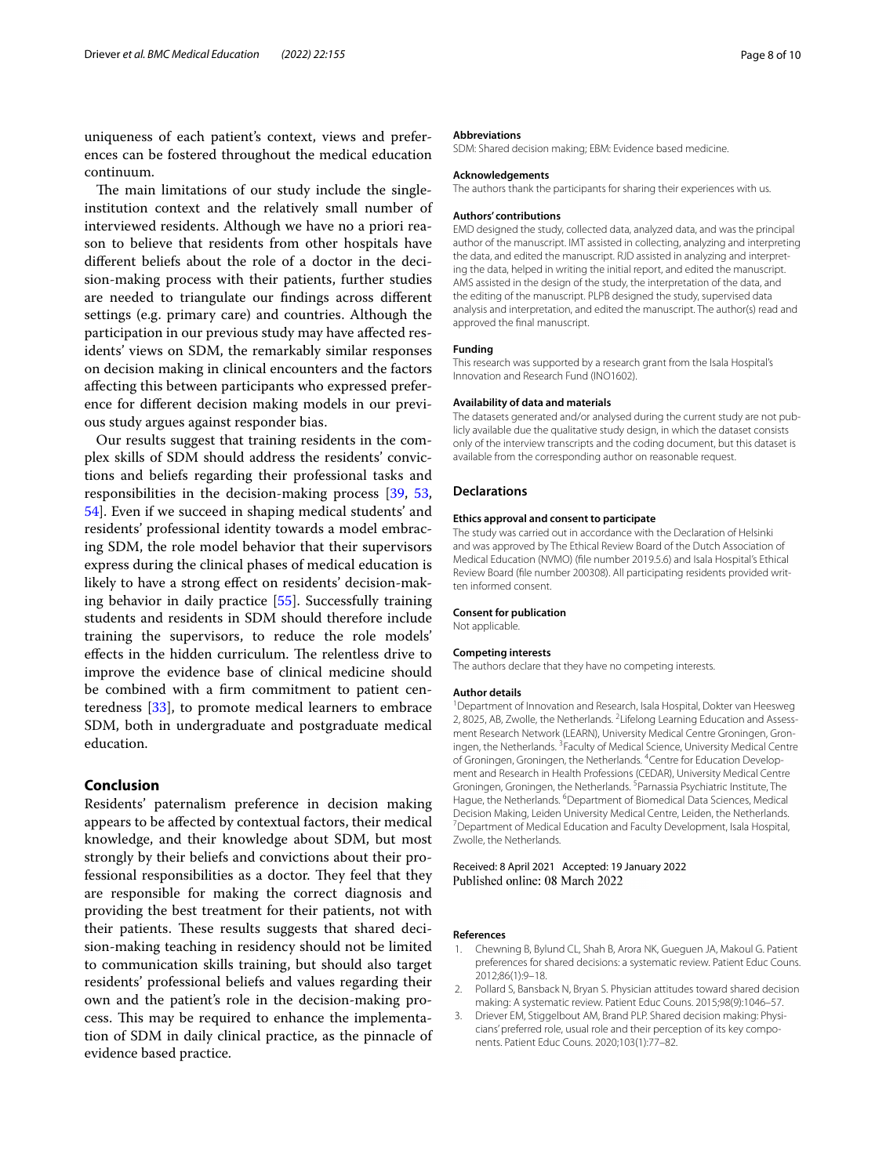uniqueness of each patient's context, views and preferences can be fostered throughout the medical education continuum.

The main limitations of our study include the singleinstitution context and the relatively small number of interviewed residents. Although we have no a priori reason to believe that residents from other hospitals have diferent beliefs about the role of a doctor in the decision-making process with their patients, further studies are needed to triangulate our fndings across diferent settings (e.g. primary care) and countries. Although the participation in our previous study may have afected residents' views on SDM, the remarkably similar responses on decision making in clinical encounters and the factors afecting this between participants who expressed preference for diferent decision making models in our previous study argues against responder bias.

Our results suggest that training residents in the complex skills of SDM should address the residents' convictions and beliefs regarding their professional tasks and responsibilities in the decision-making process [\[39](#page-8-32), [53](#page-9-2), [54\]](#page-9-3). Even if we succeed in shaping medical students' and residents' professional identity towards a model embracing SDM, the role model behavior that their supervisors express during the clinical phases of medical education is likely to have a strong efect on residents' decision-making behavior in daily practice [[55](#page-9-4)]. Successfully training students and residents in SDM should therefore include training the supervisors, to reduce the role models' effects in the hidden curriculum. The relentless drive to improve the evidence base of clinical medicine should be combined with a frm commitment to patient centeredness [\[33](#page-8-26)], to promote medical learners to embrace SDM, both in undergraduate and postgraduate medical education.

## **Conclusion**

Residents' paternalism preference in decision making appears to be afected by contextual factors, their medical knowledge, and their knowledge about SDM, but most strongly by their beliefs and convictions about their professional responsibilities as a doctor. They feel that they are responsible for making the correct diagnosis and providing the best treatment for their patients, not with their patients. These results suggests that shared decision-making teaching in residency should not be limited to communication skills training, but should also target residents' professional beliefs and values regarding their own and the patient's role in the decision-making process. This may be required to enhance the implementation of SDM in daily clinical practice, as the pinnacle of evidence based practice.

#### **Abbreviations**

SDM: Shared decision making; EBM: Evidence based medicine.

#### **Acknowledgements**

The authors thank the participants for sharing their experiences with us.

#### **Authors' contributions**

EMD designed the study, collected data, analyzed data, and was the principal author of the manuscript. IMT assisted in collecting, analyzing and interpreting the data, and edited the manuscript. RJD assisted in analyzing and interpreting the data, helped in writing the initial report, and edited the manuscript. AMS assisted in the design of the study, the interpretation of the data, and the editing of the manuscript. PLPB designed the study, supervised data analysis and interpretation, and edited the manuscript. The author(s) read and approved the fnal manuscript.

#### **Funding**

This research was supported by a research grant from the Isala Hospital's Innovation and Research Fund (INO1602).

#### **Availability of data and materials**

The datasets generated and/or analysed during the current study are not publicly available due the qualitative study design, in which the dataset consists only of the interview transcripts and the coding document, but this dataset is available from the corresponding author on reasonable request.

#### **Declarations**

#### **Ethics approval and consent to participate**

The study was carried out in accordance with the Declaration of Helsinki and was approved by The Ethical Review Board of the Dutch Association of Medical Education (NVMO) (fle number 2019.5.6) and Isala Hospital's Ethical Review Board (fle number 200308). All participating residents provided written informed consent.

#### **Consent for publication**

Not applicable.

#### **Competing interests**

The authors declare that they have no competing interests.

#### **Author details**

<sup>1</sup> Department of Innovation and Research, Isala Hospital, Dokter van Heesweg 2, 8025, AB, Zwolle, the Netherlands. <sup>2</sup> Lifelong Learning Education and Assessment Research Network (LEARN), University Medical Centre Groningen, Groningen, the Netherlands. <sup>3</sup> Faculty of Medical Science, University Medical Centre of Groningen, Groningen, the Netherlands. <sup>4</sup> Centre for Education Development and Research in Health Professions (CEDAR), University Medical Centre Groningen, Groningen, the Netherlands. <sup>5</sup> Parnassia Psychiatric Institute, The Hague, the Netherlands. <sup>6</sup>Department of Biomedical Data Sciences, Medical Decision Making, Leiden University Medical Centre, Leiden, the Netherlands. 7 Department of Medical Education and Faculty Development, Isala Hospital, Zwolle, the Netherlands.

Received: 8 April 2021 Accepted: 19 January 2022 Published online: 08 March 2022

#### **References**

- <span id="page-7-0"></span>1. Chewning B, Bylund CL, Shah B, Arora NK, Gueguen JA, Makoul G. Patient preferences for shared decisions: a systematic review. Patient Educ Couns. 2012;86(1):9–18.
- <span id="page-7-1"></span>2. Pollard S, Bansback N, Bryan S. Physician attitudes toward shared decision making: A systematic review. Patient Educ Couns. 2015;98(9):1046–57.
- <span id="page-7-2"></span>3. Driever EM, Stiggelbout AM, Brand PLP. Shared decision making: Physicians' preferred role, usual role and their perception of its key components. Patient Educ Couns. 2020;103(1):77–82.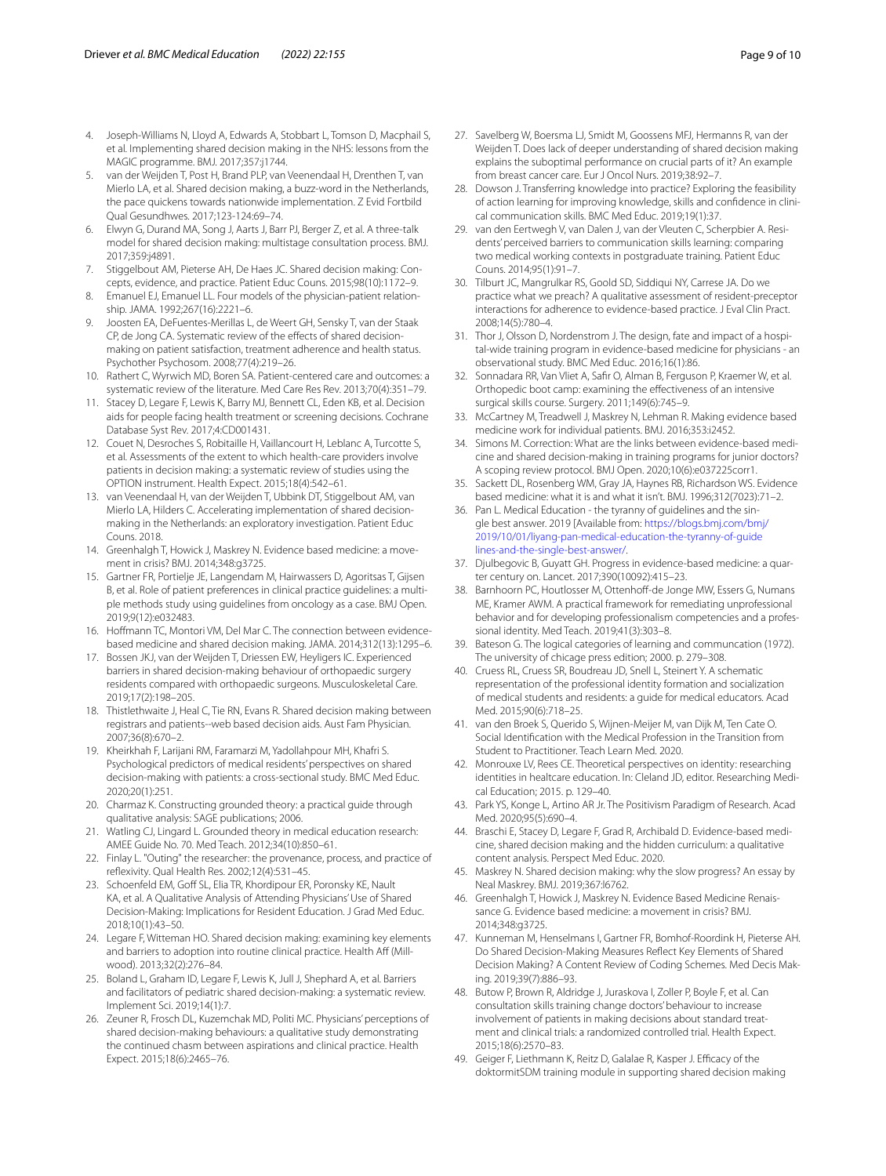- <span id="page-8-0"></span>4. Joseph-Williams N, Lloyd A, Edwards A, Stobbart L, Tomson D, Macphail S, et al. Implementing shared decision making in the NHS: lessons from the MAGIC programme. BMJ. 2017;357:j1744.
- <span id="page-8-1"></span>5. van der Weijden T, Post H, Brand PLP, van Veenendaal H, Drenthen T, van Mierlo LA, et al. Shared decision making, a buzz-word in the Netherlands, the pace quickens towards nationwide implementation. Z Evid Fortbild Qual Gesundhwes. 2017;123-124:69–74.
- <span id="page-8-2"></span>6. Elwyn G, Durand MA, Song J, Aarts J, Barr PJ, Berger Z, et al. A three-talk model for shared decision making: multistage consultation process. BMJ. 2017;359:j4891.
- <span id="page-8-3"></span>7. Stiggelbout AM, Pieterse AH, De Haes JC. Shared decision making: Concepts, evidence, and practice. Patient Educ Couns. 2015;98(10):1172–9.
- <span id="page-8-4"></span>8. Emanuel EJ, Emanuel LL. Four models of the physician-patient relationship. JAMA. 1992;267(16):2221–6.
- <span id="page-8-5"></span>9. Joosten EA, DeFuentes-Merillas L, de Weert GH, Sensky T, van der Staak CP, de Jong CA. Systematic review of the effects of shared decisionmaking on patient satisfaction, treatment adherence and health status. Psychother Psychosom. 2008;77(4):219–26.
- 10. Rathert C, Wyrwich MD, Boren SA. Patient-centered care and outcomes: a systematic review of the literature. Med Care Res Rev. 2013;70(4):351–79.
- <span id="page-8-6"></span>11. Stacey D, Legare F, Lewis K, Barry MJ, Bennett CL, Eden KB, et al. Decision aids for people facing health treatment or screening decisions. Cochrane Database Syst Rev. 2017;4:CD001431.
- <span id="page-8-7"></span>12. Couet N, Desroches S, Robitaille H, Vaillancourt H, Leblanc A, Turcotte S, et al. Assessments of the extent to which health-care providers involve patients in decision making: a systematic review of studies using the OPTION instrument. Health Expect. 2015;18(4):542–61.
- <span id="page-8-8"></span>13. van Veenendaal H, van der Weijden T, Ubbink DT, Stiggelbout AM, van Mierlo LA, Hilders C. Accelerating implementation of shared decisionmaking in the Netherlands: an exploratory investigation. Patient Educ Couns. 2018.
- <span id="page-8-9"></span>14. Greenhalgh T, Howick J, Maskrey N. Evidence based medicine: a movement in crisis? BMJ. 2014;348:g3725.
- 15. Gartner FR, Portielje JE, Langendam M, Hairwassers D, Agoritsas T, Gijsen B, et al. Role of patient preferences in clinical practice guidelines: a multiple methods study using guidelines from oncology as a case. BMJ Open. 2019;9(12):e032483.
- <span id="page-8-10"></span>16. Hofmann TC, Montori VM, Del Mar C. The connection between evidencebased medicine and shared decision making. JAMA. 2014;312(13):1295–6.
- <span id="page-8-11"></span>17. Bossen JKJ, van der Weijden T, Driessen EW, Heyligers IC. Experienced barriers in shared decision-making behaviour of orthopaedic surgery residents compared with orthopaedic surgeons. Musculoskeletal Care. 2019;17(2):198–205.
- 18. Thistlethwaite J, Heal C, Tie RN, Evans R. Shared decision making between registrars and patients--web based decision aids. Aust Fam Physician. 2007;36(8):670–2.
- <span id="page-8-12"></span>19. Kheirkhah F, Larijani RM, Faramarzi M, Yadollahpour MH, Khafri S. Psychological predictors of medical residents' perspectives on shared decision-making with patients: a cross-sectional study. BMC Med Educ. 2020;20(1):251.
- <span id="page-8-13"></span>20. Charmaz K. Constructing grounded theory: a practical guide through qualitative analysis: SAGE publications; 2006.
- <span id="page-8-14"></span>21. Watling CJ, Lingard L. Grounded theory in medical education research: AMEE Guide No. 70. Med Teach. 2012;34(10):850–61.
- <span id="page-8-15"></span>22. Finlay L. "Outing" the researcher: the provenance, process, and practice of refexivity. Qual Health Res. 2002;12(4):531–45.
- <span id="page-8-16"></span>23. Schoenfeld EM, Goff SL, Elia TR, Khordipour ER, Poronsky KE, Nault KA, et al. A Qualitative Analysis of Attending Physicians' Use of Shared Decision-Making: Implications for Resident Education. J Grad Med Educ. 2018;10(1):43–50.
- <span id="page-8-17"></span>24. Legare F, Witteman HO. Shared decision making: examining key elements and barriers to adoption into routine clinical practice. Health Aff (Millwood). 2013;32(2):276–84.
- <span id="page-8-18"></span>25. Boland L, Graham ID, Legare F, Lewis K, Jull J, Shephard A, et al. Barriers and facilitators of pediatric shared decision-making: a systematic review. Implement Sci. 2019;14(1):7.
- <span id="page-8-19"></span>26. Zeuner R, Frosch DL, Kuzemchak MD, Politi MC. Physicians' perceptions of shared decision-making behaviours: a qualitative study demonstrating the continued chasm between aspirations and clinical practice. Health Expect. 2015;18(6):2465–76.
- <span id="page-8-20"></span>27. Savelberg W, Boersma LJ, Smidt M, Goossens MFJ, Hermanns R, van der Weijden T. Does lack of deeper understanding of shared decision making explains the suboptimal performance on crucial parts of it? An example from breast cancer care. Eur J Oncol Nurs. 2019;38:92–7.
- <span id="page-8-21"></span>28. Dowson J. Transferring knowledge into practice? Exploring the feasibility of action learning for improving knowledge, skills and confdence in clinical communication skills. BMC Med Educ. 2019;19(1):37.
- <span id="page-8-22"></span>29. van den Eertwegh V, van Dalen J, van der Vleuten C, Scherpbier A. Residents' perceived barriers to communication skills learning: comparing two medical working contexts in postgraduate training. Patient Educ Couns. 2014;95(1):91–7.
- <span id="page-8-23"></span>30. Tilburt JC, Mangrulkar RS, Goold SD, Siddiqui NY, Carrese JA. Do we practice what we preach? A qualitative assessment of resident-preceptor interactions for adherence to evidence-based practice. J Eval Clin Pract. 2008;14(5):780–4.
- <span id="page-8-24"></span>31. Thor J, Olsson D, Nordenstrom J. The design, fate and impact of a hospital-wide training program in evidence-based medicine for physicians - an observational study. BMC Med Educ. 2016;16(1):86.
- <span id="page-8-25"></span>32. Sonnadara RR, Van Vliet A, Safr O, Alman B, Ferguson P, Kraemer W, et al. Orthopedic boot camp: examining the efectiveness of an intensive surgical skills course. Surgery. 2011;149(6):745–9.
- <span id="page-8-26"></span>33. McCartney M, Treadwell J, Maskrey N, Lehman R. Making evidence based medicine work for individual patients. BMJ. 2016;353:i2452.
- <span id="page-8-27"></span>34. Simons M. Correction: What are the links between evidence-based medicine and shared decision-making in training programs for junior doctors? A scoping review protocol. BMJ Open. 2020;10(6):e037225corr1.
- <span id="page-8-28"></span>35. Sackett DL, Rosenberg WM, Gray JA, Haynes RB, Richardson WS. Evidence based medicine: what it is and what it isn't. BMJ. 1996;312(7023):71–2.
- <span id="page-8-29"></span>36. Pan L. Medical Education - the tyranny of guidelines and the single best answer. 2019 [Available from: [https://blogs.bmj.com/bmj/](https://blogs.bmj.com/bmj/2019/10/01/liyang-pan-medical-education-the-tyranny-of-guidelines-and-the-single-best-answer/) [2019/10/01/liyang-pan-medical-education-the-tyranny-of-guide](https://blogs.bmj.com/bmj/2019/10/01/liyang-pan-medical-education-the-tyranny-of-guidelines-and-the-single-best-answer/) [lines-and-the-single-best-answer/.](https://blogs.bmj.com/bmj/2019/10/01/liyang-pan-medical-education-the-tyranny-of-guidelines-and-the-single-best-answer/)
- <span id="page-8-30"></span>37. Djulbegovic B, Guyatt GH. Progress in evidence-based medicine: a quarter century on. Lancet. 2017;390(10092):415–23.
- <span id="page-8-31"></span>38. Barnhoorn PC, Houtlosser M, Ottenhoff-de Jonge MW, Essers G, Numans ME, Kramer AWM. A practical framework for remediating unprofessional behavior and for developing professionalism competencies and a professional identity. Med Teach. 2019;41(3):303–8.
- <span id="page-8-32"></span>39. Bateson G. The logical categories of learning and communcation (1972). The university of chicage press edition; 2000. p. 279–308.
- <span id="page-8-33"></span>40. Cruess RL, Cruess SR, Boudreau JD, Snell L, Steinert Y. A schematic representation of the professional identity formation and socialization of medical students and residents: a guide for medical educators. Acad Med. 2015;90(6):718–25.
- 41. van den Broek S, Querido S, Wijnen-Meijer M, van Dijk M, Ten Cate O. Social Identifcation with the Medical Profession in the Transition from Student to Practitioner. Teach Learn Med. 2020.
- <span id="page-8-34"></span>42. Monrouxe LV, Rees CE. Theoretical perspectives on identity: researching identities in healtcare education. In: Cleland JD, editor. Researching Medical Education; 2015. p. 129–40.
- <span id="page-8-35"></span>43. Park YS, Konge L, Artino AR Jr. The Positivism Paradigm of Research. Acad Med. 2020;95(5):690–4.
- <span id="page-8-36"></span>44. Braschi E, Stacey D, Legare F, Grad R, Archibald D. Evidence-based medicine, shared decision making and the hidden curriculum: a qualitative content analysis. Perspect Med Educ. 2020.
- <span id="page-8-37"></span>45. Maskrey N. Shared decision making: why the slow progress? An essay by Neal Maskrey. BMJ. 2019;367:l6762.
- <span id="page-8-38"></span>46. Greenhalgh T, Howick J, Maskrey N. Evidence Based Medicine Renaissance G. Evidence based medicine: a movement in crisis? BMJ. 2014;348:g3725.
- <span id="page-8-39"></span>47. Kunneman M, Henselmans I, Gartner FR, Bomhof-Roordink H, Pieterse AH. Do Shared Decision-Making Measures Refect Key Elements of Shared Decision Making? A Content Review of Coding Schemes. Med Decis Making. 2019;39(7):886–93.
- 48. Butow P, Brown R, Aldridge J, Juraskova I, Zoller P, Boyle F, et al. Can consultation skills training change doctors' behaviour to increase involvement of patients in making decisions about standard treatment and clinical trials: a randomized controlled trial. Health Expect. 2015;18(6):2570–83.
- 49. Geiger F, Liethmann K, Reitz D, Galalae R, Kasper J. Efficacy of the doktormitSDM training module in supporting shared decision making